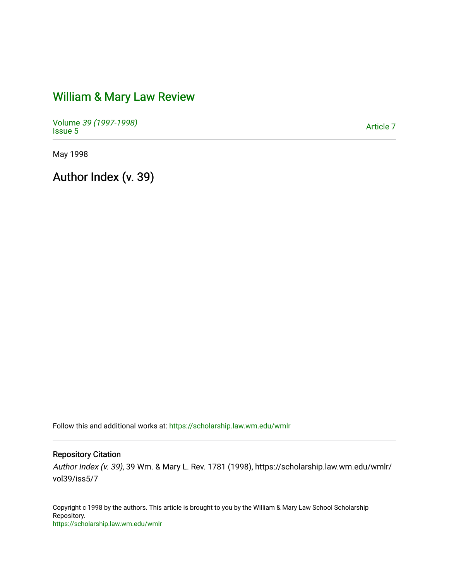## [William & Mary Law Review](https://scholarship.law.wm.edu/wmlr)

Volume [39 \(1997-1998\)](https://scholarship.law.wm.edu/wmlr/vol39)  Polarité 39 (1997-1996)<br>[Issue 5](https://scholarship.law.wm.edu/wmlr/vol39/iss5) Article 7

May 1998

Author Index (v. 39)

Follow this and additional works at: [https://scholarship.law.wm.edu/wmlr](https://scholarship.law.wm.edu/wmlr?utm_source=scholarship.law.wm.edu%2Fwmlr%2Fvol39%2Fiss5%2F7&utm_medium=PDF&utm_campaign=PDFCoverPages)

Repository Citation

Author Index (v. 39), 39 Wm. & Mary L. Rev. 1781 (1998), https://scholarship.law.wm.edu/wmlr/ vol39/iss5/7

Copyright c 1998 by the authors. This article is brought to you by the William & Mary Law School Scholarship Repository. <https://scholarship.law.wm.edu/wmlr>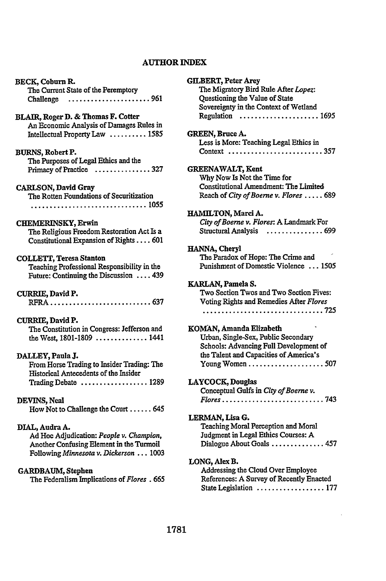## **AUTHOR INDEX**

| BECK, Coburn R.                             |
|---------------------------------------------|
| The Current State of the Peremptory         |
| Challenge 961                               |
|                                             |
|                                             |
| BLAIR, Roger D. & Thomas F. Cotter          |
| An Economic Analysis of Damages Rules in    |
| Intellectual Property Law  1585             |
|                                             |
| BURNS, Robert P.                            |
|                                             |
| The Purposes of Legal Ethics and the        |
| Primacy of Practice<br>. 327                |
|                                             |
| <b>CARLSON, David Gray</b>                  |
| The Rotten Foundations of Securitization    |
|                                             |
|                                             |
|                                             |
| <b>CHEMERINSKY, Erwin</b>                   |
| The Religious Freedom Restoration Act Is a  |
| Constitutional Expansion of Rights 601      |
|                                             |
|                                             |
| <b>COLLETT, Teresa Stanton</b>              |
| Teaching Professional Responsibility in the |
| Future: Continuing the Discussion  439      |
|                                             |
| CURRIE, David P.                            |
| . 637<br>$RFRA$                             |
|                                             |
|                                             |
| CURRIE, David P.                            |
| The Constitution in Congress: Jefferson and |
| the West, 1801-1809  1441                   |
|                                             |
| DALLEY, Paula J.                            |
| From Horse Trading to Insider Trading: The  |
|                                             |
| Historical Antecedents of the Insider       |
| Trading Debate  1289                        |
|                                             |
| DEVINS, Neal                                |
| How Not to Challenge the Court  645         |
|                                             |
|                                             |
| DIAL, Audra A.                              |
| Ad Hoc Adjudication: People v. Champion,    |
| Another Confusing Element in the Turmoil    |
| Following Minnesota v. Dickerson 1003       |
|                                             |
|                                             |
| <b>GARDBAUM, Stephen</b>                    |
| The Federalism Implications of Flores . 665 |

| <b>GILBERT, Peter Arey</b><br>The Migratory Bird Rule After Lopez:             |
|--------------------------------------------------------------------------------|
| Questioning the Value of State                                                 |
| Sovereignty in the Context of Wetland                                          |
| Regulation $\ldots \ldots \ldots \ldots \ldots \ldots 1695$                    |
| GREEN, Bruce A.                                                                |
| Less is More: Teaching Legal Ethics in                                         |
| Context 357                                                                    |
| <b>GREENAWALT, Kent</b>                                                        |
| Why Now Is Not the Time for                                                    |
| Constitutional Amendment: The Limited                                          |
| Reach of City of Boerne v. Flores  689                                         |
| HAMILTON, Marci A.                                                             |
| City of Boerne v. Flores: A Landmark For                                       |
| <b>Structural Analysis</b><br>. 699                                            |
| HANNA, Cheryl                                                                  |
| The Paradox of Hope: The Crime and                                             |
| Punishment of Domestic Violence  1505                                          |
| KARLAN, Pamela S.                                                              |
| Two Section Twos and Two Section Fives:                                        |
| Voting Rights and Remedies After Flores                                        |
|                                                                                |
| KOMAN, Amanda Elizabeth                                                        |
| Urban, Single-Sex, Public Secondary                                            |
| Schools: Advancing Full Development of                                         |
| the Talent and Capacities of America's                                         |
| Young Women $\ldots \ldots \ldots \ldots \ldots \ldots 507$                    |
| LAYCOCK, Douglas                                                               |
| Conceptual Gulfs in City of Boerne v.                                          |
| $\ldots$ 743<br>$Flores \dots \dots \dots \dots \dots \dots \dots \dots \dots$ |
| LERMAN, Lisa G.                                                                |
| Teaching Moral Perception and Moral                                            |
| Judgment in Legal Ethics Courses: A                                            |
| Dialogue About Goals  457                                                      |
| LONG, Alex B.                                                                  |
| Addressing the Cloud Over Employee                                             |
| References: A Survey of Recently Enacted                                       |
| State Legislation  177                                                         |

l,